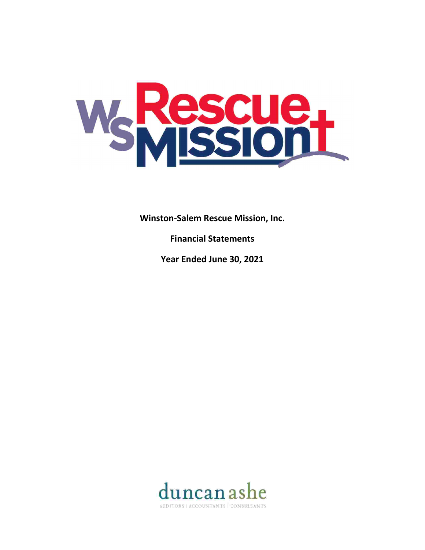

**Winston-Salem Rescue Mission, Inc.**

**Financial Statements**

**Year Ended June 30, 2021**

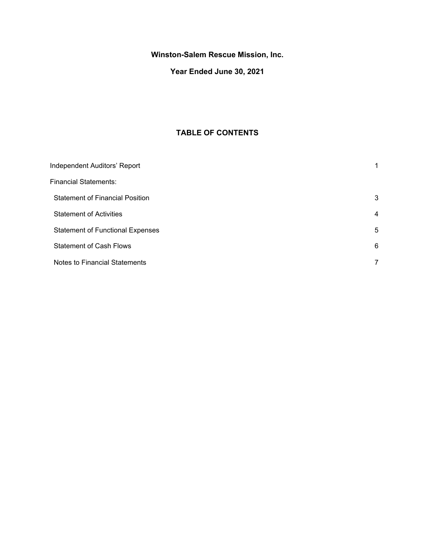**Winston-Salem Rescue Mission, Inc.**

**Year Ended June 30, 2021**

# **TABLE OF CONTENTS**

| Independent Auditors' Report            | 1 |
|-----------------------------------------|---|
| Financial Statements:                   |   |
| <b>Statement of Financial Position</b>  | 3 |
| <b>Statement of Activities</b>          | 4 |
| <b>Statement of Functional Expenses</b> | 5 |
| <b>Statement of Cash Flows</b>          | 6 |
| <b>Notes to Financial Statements</b>    | 7 |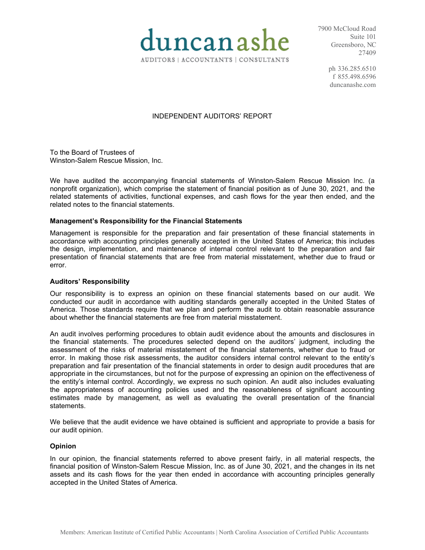

7900 McCloud Road Suite 101 Greensboro, NC 27409

> ph 336.285.6510 f 855.498.6596 duncanashe.com

# INDEPENDENT AUDITORS' REPORT

To the Board of Trustees of Winston-Salem Rescue Mission, Inc.

We have audited the accompanying financial statements of Winston-Salem Rescue Mission Inc. (a nonprofit organization), which comprise the statement of financial position as of June 30, 2021, and the related statements of activities, functional expenses, and cash flows for the year then ended, and the related notes to the financial statements.

# **Management's Responsibility for the Financial Statements**

Management is responsible for the preparation and fair presentation of these financial statements in accordance with accounting principles generally accepted in the United States of America; this includes the design, implementation, and maintenance of internal control relevant to the preparation and fair presentation of financial statements that are free from material misstatement, whether due to fraud or error.

## **Auditors' Responsibility**

Our responsibility is to express an opinion on these financial statements based on our audit. We conducted our audit in accordance with auditing standards generally accepted in the United States of America. Those standards require that we plan and perform the audit to obtain reasonable assurance about whether the financial statements are free from material misstatement.

An audit involves performing procedures to obtain audit evidence about the amounts and disclosures in the financial statements. The procedures selected depend on the auditors' judgment, including the assessment of the risks of material misstatement of the financial statements, whether due to fraud or error. In making those risk assessments, the auditor considers internal control relevant to the entity's preparation and fair presentation of the financial statements in order to design audit procedures that are appropriate in the circumstances, but not for the purpose of expressing an opinion on the effectiveness of the entity's internal control. Accordingly, we express no such opinion. An audit also includes evaluating the appropriateness of accounting policies used and the reasonableness of significant accounting estimates made by management, as well as evaluating the overall presentation of the financial statements.

We believe that the audit evidence we have obtained is sufficient and appropriate to provide a basis for our audit opinion.

## **Opinion**

In our opinion, the financial statements referred to above present fairly, in all material respects, the financial position of Winston-Salem Rescue Mission, Inc. as of June 30, 2021, and the changes in its net assets and its cash flows for the year then ended in accordance with accounting principles generally accepted in the United States of America.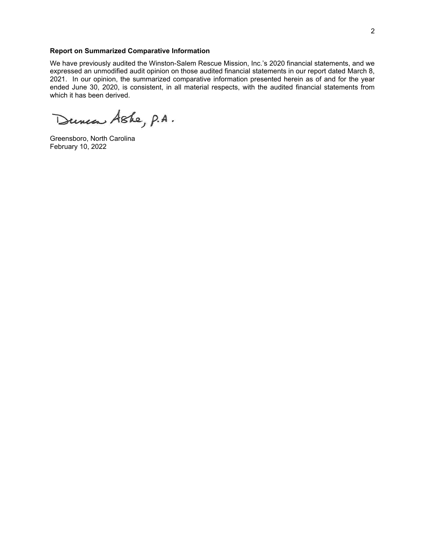#### **Report on Summarized Comparative Information**

We have previously audited the Winston-Salem Rescue Mission, Inc.'s 2020 financial statements, and we expressed an unmodified audit opinion on those audited financial statements in our report dated March 8, 2021. In our opinion, the summarized comparative information presented herein as of and for the year ended June 30, 2020, is consistent, in all material respects, with the audited financial statements from which it has been derived.

Sunca Ashe, P.A.

Greensboro, North Carolina February 10, 2022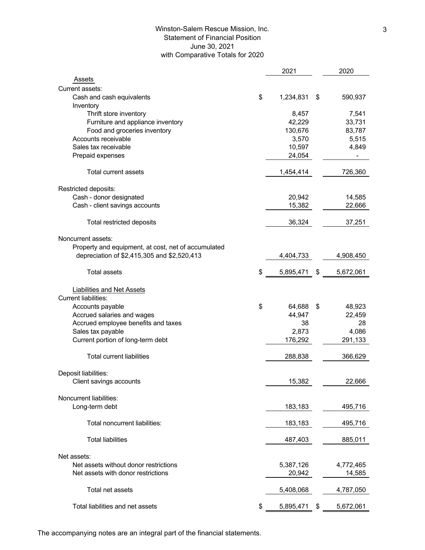# Winston-Salem Rescue Mission, Inc. Statement of Financial Position June 30, 2021 with Comparative Totals for 2020

|                                                                                                    | 2021            | 2020            |
|----------------------------------------------------------------------------------------------------|-----------------|-----------------|
| Assets                                                                                             |                 |                 |
| Current assets:                                                                                    |                 |                 |
| Cash and cash equivalents                                                                          | \$<br>1,234,831 | \$<br>590,937   |
| Inventory                                                                                          |                 |                 |
| Thrift store inventory                                                                             | 8,457           | 7,541           |
| Furniture and appliance inventory                                                                  | 42,229          | 33,731          |
| Food and groceries inventory                                                                       | 130,676         | 83,787          |
| Accounts receivable                                                                                | 3,570           | 5,515           |
| Sales tax receivable                                                                               | 10,597          | 4,849           |
| Prepaid expenses                                                                                   | 24,054          |                 |
|                                                                                                    |                 |                 |
| Total current assets                                                                               | 1,454,414       | 726,360         |
| Restricted deposits:                                                                               |                 |                 |
| Cash - donor designated                                                                            | 20,942          | 14,585          |
| Cash - client savings accounts                                                                     | 15,382          | 22,666          |
|                                                                                                    |                 |                 |
| Total restricted deposits                                                                          | 36,324          | 37,251          |
| Noncurrent assets:                                                                                 |                 |                 |
|                                                                                                    |                 |                 |
| Property and equipment, at cost, net of accumulated<br>depreciation of \$2,415,305 and \$2,520,413 |                 |                 |
|                                                                                                    | 4,404,733       | 4,908,450       |
| <b>Total assets</b>                                                                                | \$<br>5,895,471 | \$<br>5,672,061 |
|                                                                                                    |                 |                 |
| <b>Liabilities and Net Assets</b>                                                                  |                 |                 |
| <b>Current liabilities:</b>                                                                        |                 |                 |
| Accounts payable                                                                                   | \$<br>64,688    | \$<br>48,923    |
| Accrued salaries and wages                                                                         | 44,947          | 22,459          |
| Accrued employee benefits and taxes                                                                | 38              | 28              |
| Sales tax payable                                                                                  | 2,873           | 4,086           |
| Current portion of long-term debt                                                                  | 176,292         | 291,133         |
|                                                                                                    |                 |                 |
| <b>Total current liabilities</b>                                                                   | 288,838         | 366,629         |
|                                                                                                    |                 |                 |
| Deposit liabilities:                                                                               |                 |                 |
| Client savings accounts                                                                            | 15,382          | 22,666          |
| Noncurrent liabilities:                                                                            |                 |                 |
| Long-term debt                                                                                     | 183,183         | 495,716         |
|                                                                                                    |                 |                 |
| Total noncurrent liabilities:                                                                      | 183,183         | 495,716         |
|                                                                                                    |                 |                 |
| <b>Total liabilities</b>                                                                           | 487,403         | 885,011         |
| Net assets:                                                                                        |                 |                 |
| Net assets without donor restrictions                                                              | 5,387,126       | 4,772,465       |
| Net assets with donor restrictions                                                                 | 20,942          | 14,585          |
|                                                                                                    |                 |                 |
| Total net assets                                                                                   | 5,408,068       | 4,787,050       |
|                                                                                                    |                 |                 |
| Total liabilities and net assets                                                                   | \$<br>5,895,471 | \$<br>5,672,061 |
|                                                                                                    |                 |                 |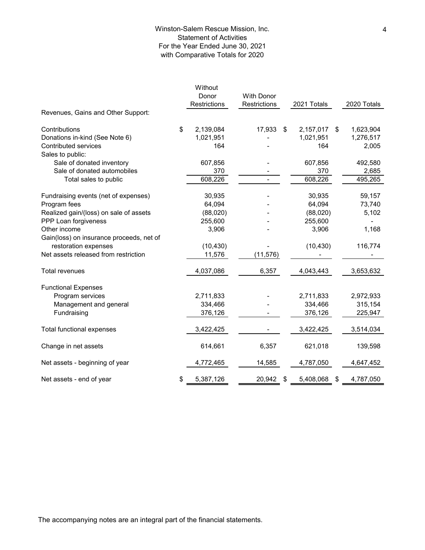# Winston-Salem Rescue Mission, Inc. Statement of Activities For the Year Ended June 30, 2021 with Comparative Totals for 2020

|                                          | Without         |                   |                 |             |
|------------------------------------------|-----------------|-------------------|-----------------|-------------|
|                                          | Donor           | <b>With Donor</b> |                 |             |
|                                          | Restrictions    | Restrictions      | 2021 Totals     | 2020 Totals |
| Revenues, Gains and Other Support:       |                 |                   |                 |             |
| Contributions                            | \$<br>2,139,084 | 17,933<br>\$      | 2,157,017<br>\$ | 1,623,904   |
| Donations in-kind (See Note 6)           | 1,021,951       |                   | 1,021,951       | 1,276,517   |
| Contributed services                     | 164             |                   | 164             | 2,005       |
| Sales to public:                         |                 |                   |                 |             |
| Sale of donated inventory                | 607,856         |                   | 607,856         | 492,580     |
| Sale of donated automobiles              | 370             |                   | 370             | 2,685       |
| Total sales to public                    | 608,226         |                   | 608,226         | 495,265     |
| Fundraising events (net of expenses)     | 30,935          |                   | 30,935          | 59,157      |
| Program fees                             | 64,094          |                   | 64,094          | 73,740      |
| Realized gain/(loss) on sale of assets   | (88,020)        |                   | (88,020)        | 5,102       |
| PPP Loan forgiveness                     | 255,600         |                   | 255,600         |             |
| Other income                             | 3,906           |                   | 3,906           | 1,168       |
| Gain(loss) on insurance proceeds, net of |                 |                   |                 |             |
| restoration expenses                     | (10, 430)       |                   | (10, 430)       | 116,774     |
| Net assets released from restriction     | 11,576          | (11, 576)         |                 |             |
| <b>Total revenues</b>                    | 4,037,086       | 6,357             | 4,043,443       | 3,653,632   |
| <b>Functional Expenses</b>               |                 |                   |                 |             |
| Program services                         | 2,711,833       |                   | 2,711,833       | 2,972,933   |
| Management and general                   | 334,466         |                   | 334,466         | 315,154     |
| Fundraising                              | 376,126         |                   | 376,126         | 225,947     |
| Total functional expenses                | 3,422,425       |                   | 3,422,425       | 3,514,034   |
| Change in net assets                     | 614,661         | 6,357             | 621,018         | 139,598     |
| Net assets - beginning of year           | 4,772,465       | 14,585            | 4,787,050       | 4,647,452   |
| Net assets - end of year                 | \$<br>5,387,126 | 20,942<br>\$      | 5,408,068<br>\$ | 4,787,050   |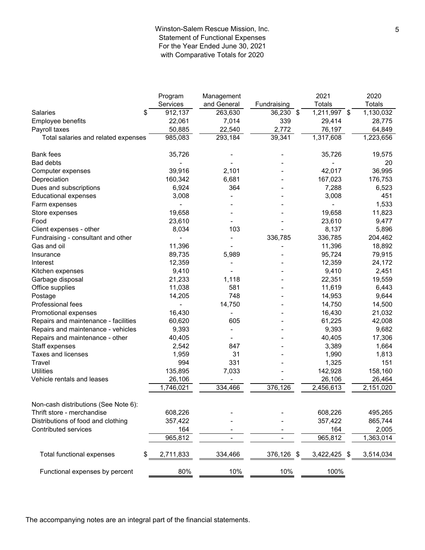# Winston-Salem Rescue Mission, Inc. Statement of Functional Expenses For the Year Ended June 30, 2021 with Comparative Totals for 2020

|                                      | Program   | Management  |                              | 2021          | 2020          |
|--------------------------------------|-----------|-------------|------------------------------|---------------|---------------|
|                                      | Services  | and General | Fundraising                  | <b>Totals</b> | <b>Totals</b> |
| <b>Salaries</b><br>\$                | 912,137   | 263,630     | 36,230 \$                    | 1,211,997 \$  | 1,130,032     |
| Employee benefits                    | 22,061    | 7,014       | 339                          | 29,414        | 28,775        |
| Payroll taxes                        | 50,885    | 22,540      | 2,772                        | 76,197        | 64,849        |
| Total salaries and related expenses  | 985,083   | 293,184     | 39,341                       | 1,317,608     | 1,223,656     |
| <b>Bank</b> fees                     | 35,726    |             |                              | 35,726        | 19,575        |
| <b>Bad debts</b>                     |           |             |                              |               | 20            |
| Computer expenses                    | 39,916    | 2,101       |                              | 42,017        | 36,995        |
| Depreciation                         | 160,342   | 6,681       |                              | 167,023       | 176,753       |
| Dues and subscriptions               | 6,924     | 364         |                              | 7,288         | 6,523         |
| <b>Educational expenses</b>          | 3,008     |             |                              | 3,008         | 451           |
| Farm expenses                        |           |             |                              |               | 1,533         |
| Store expenses                       | 19,658    |             |                              | 19,658        | 11,823        |
| Food                                 | 23,610    |             |                              | 23,610        | 9,477         |
| Client expenses - other              | 8,034     | 103         |                              | 8,137         | 5,896         |
| Fundraising - consultant and other   |           |             | 336,785                      | 336,785       | 204,462       |
| Gas and oil                          | 11,396    |             |                              | 11,396        | 18,892        |
| Insurance                            | 89,735    | 5,989       |                              | 95,724        | 79,915        |
| Interest                             | 12,359    |             |                              | 12,359        | 24,172        |
| Kitchen expenses                     | 9,410     |             |                              | 9,410         | 2,451         |
| Garbage disposal                     | 21,233    | 1,118       |                              | 22,351        | 19,559        |
| Office supplies                      | 11,038    | 581         |                              | 11,619        | 6,443         |
| Postage                              | 14,205    | 748         |                              | 14,953        | 9,644         |
| <b>Professional fees</b>             |           | 14,750      |                              | 14,750        | 14,500        |
| Promotional expenses                 | 16,430    |             |                              | 16,430        | 21,032        |
| Repairs and maintenance - facilities | 60,620    | 605         |                              | 61,225        | 42,008        |
| Repairs and maintenance - vehicles   | 9,393     |             |                              | 9,393         | 9,682         |
| Repairs and maintenance - other      | 40,405    |             |                              | 40,405        | 17,306        |
| Staff expenses                       | 2,542     | 847         |                              | 3,389         | 1,664         |
| <b>Taxes and licenses</b>            | 1,959     | 31          |                              | 1,990         | 1,813         |
| Travel                               | 994       | 331         |                              | 1,325         | 151           |
| <b>Utilities</b>                     | 135,895   | 7,033       |                              | 142,928       | 158,160       |
| Vehicle rentals and leases           | 26,106    |             |                              | 26,106        | 26,464        |
|                                      | 1,746,021 | 334,466     | 376,126                      | 2,456,613     | 2,151,020     |
| Non-cash distributions (See Note 6): |           |             |                              |               |               |
| Thrift store - merchandise           | 608,226   |             |                              | 608,226       | 495,265       |
| Distributions of food and clothing   | 357,422   |             |                              | 357,422       | 865,744       |
| <b>Contributed services</b>          | 164       |             |                              | 164           | 2,005         |
|                                      | 965,812   |             | $\qquad \qquad \blacksquare$ | 965,812       | 1,363,014     |
| Total functional expenses<br>\$      | 2,711,833 | 334,466     | 376,126 \$                   | 3,422,425 \$  | 3,514,034     |
| Functional expenses by percent       | 80%       | 10%         | 10%                          | 100%          |               |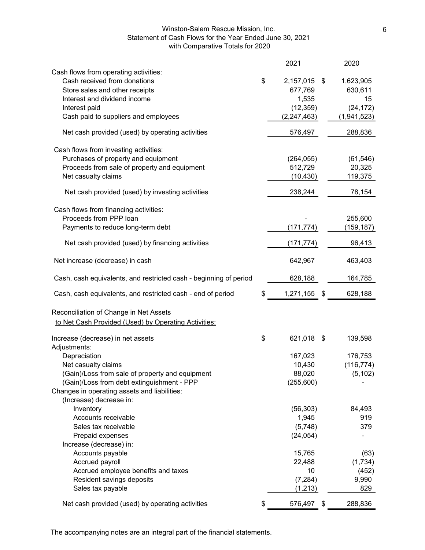# Winston-Salem Rescue Mission, Inc. Statement of Cash Flows for the Year Ended June 30, 2021 with Comparative Totals for 2020

|                                                                   |    | 2021          |    | 2020        |
|-------------------------------------------------------------------|----|---------------|----|-------------|
| Cash flows from operating activities:                             |    |               |    |             |
| Cash received from donations                                      | \$ | 2,157,015     | \$ | 1,623,905   |
| Store sales and other receipts                                    |    | 677,769       |    | 630,611     |
| Interest and dividend income                                      |    | 1,535         |    | 15          |
| Interest paid                                                     |    | (12, 359)     |    | (24, 172)   |
| Cash paid to suppliers and employees                              |    | (2, 247, 463) |    | (1,941,523) |
| Net cash provided (used) by operating activities                  |    | 576,497       |    | 288,836     |
| Cash flows from investing activities:                             |    |               |    |             |
| Purchases of property and equipment                               |    | (264, 055)    |    | (61, 546)   |
| Proceeds from sale of property and equipment                      |    | 512,729       |    | 20,325      |
| Net casualty claims                                               |    | (10, 430)     |    | 119,375     |
|                                                                   |    |               |    |             |
| Net cash provided (used) by investing activities                  |    | 238,244       |    | 78,154      |
| Cash flows from financing activities:                             |    |               |    |             |
| Proceeds from PPP loan                                            |    |               |    | 255,600     |
| Payments to reduce long-term debt                                 |    | (171, 774)    |    | (159, 187)  |
| Net cash provided (used) by financing activities                  |    | (171,774)     |    | 96,413      |
| Net increase (decrease) in cash                                   |    | 642,967       |    | 463,403     |
| Cash, cash equivalents, and restricted cash - beginning of period |    | 628,188       |    | 164,785     |
| Cash, cash equivalents, and restricted cash - end of period       | S  | 1,271,155     | S  | 628,188     |
| Reconciliation of Change in Net Assets                            |    |               |    |             |
| to Net Cash Provided (Used) by Operating Activities:              |    |               |    |             |
|                                                                   |    |               |    |             |
| Increase (decrease) in net assets                                 | \$ | 621,018       | \$ | 139,598     |
| Adjustments:                                                      |    |               |    |             |
| Depreciation                                                      |    | 167,023       |    | 176,753     |
| Net casualty claims                                               |    | 10,430        |    | (116, 774)  |
| (Gain)/Loss from sale of property and equipment                   |    | 88,020        |    | (5, 102)    |
| (Gain)/Loss from debt extinguishment - PPP                        |    | (255,600)     |    |             |
| Changes in operating assets and liabilities:                      |    |               |    |             |
| (Increase) decrease in:                                           |    |               |    |             |
| Inventory                                                         |    | (56, 303)     |    | 84,493      |
| Accounts receivable                                               |    | 1,945         |    | 919         |
| Sales tax receivable                                              |    | (5,748)       |    | 379         |
| Prepaid expenses                                                  |    | (24, 054)     |    |             |
| Increase (decrease) in:                                           |    |               |    |             |
| Accounts payable                                                  |    | 15,765        |    | (63)        |
| Accrued payroll                                                   |    | 22,488        |    | (1,734)     |
| Accrued employee benefits and taxes                               |    | 10            |    | (452)       |
| Resident savings deposits                                         |    | (7, 284)      |    | 9,990       |
| Sales tax payable                                                 |    | (1, 213)      |    | 829         |
| Net cash provided (used) by operating activities                  | \$ | 576,497       | \$ | 288,836     |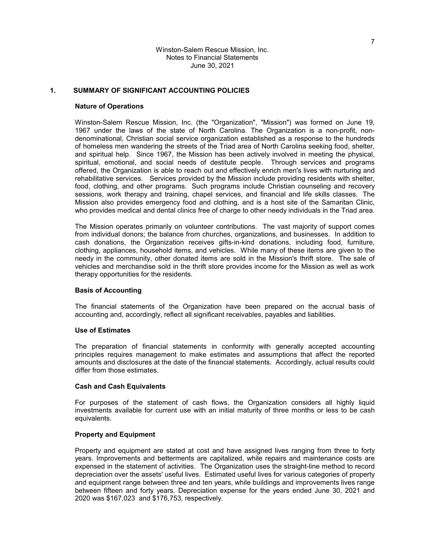#### **1. SUMMARY OF SIGNIFICANT ACCOUNTING POLICIES**

#### **Nature of Operations**

Winston-Salem Rescue Mission, Inc. (the "Organization", "Mission") was formed on June 19, 1967 under the laws of the state of North Carolina. The Organization is a non-profit, nondenominational, Christian social service organization established as a response to the hundreds of homeless men wandering the streets of the Triad area of North Carolina seeking food, shelter, and spiritual help. Since 1967, the Mission has been actively involved in meeting the physical, spiritual, emotional, and social needs of destitute people. Through services and programs offered, the Organization is able to reach out and effectively enrich men's lives with nurturing and rehabilitative services. Services provided by the Mission include providing residents with shelter, food, clothing, and other programs. Such programs include Christian counseling and recovery sessions, work therapy and training, chapel services, and financial and life skills classes. The Mission also provides emergency food and clothing, and is a host site of the Samaritan Clinic, who provides medical and dental clinics free of charge to other needy individuals in the Triad area.

The Mission operates primarily on volunteer contributions. The vast majority of support comes from individual donors; the balance from churches, organizations, and businesses. In addition to cash donations, the Organization receives gifts-in-kind donations, including food, furniture, clothing, appliances, household items, and vehicles. While many of these items are given to the needy in the community, other donated items are sold in the Mission's thrift store. The sale of vehicles and merchandise sold in the thrift store provides income for the Mission as well as work therapy opportunities for the residents.

# **Basis of Accounting**

The financial statements of the Organization have been prepared on the accrual basis of accounting and, accordingly, reflect all significant receivables, payables and liabilities.

#### **Use of Estimates**

The preparation of financial statements in conformity with generally accepted accounting principles requires management to make estimates and assumptions that affect the reported amounts and disclosures at the date of the financial statements. Accordingly, actual results could differ from those estimates.

#### **Cash and Cash Equivalents**

For purposes of the statement of cash flows, the Organization considers all highly liquid investments available for current use with an initial maturity of three months or less to be cash equivalents.

#### **Property and Equipment**

Property and equipment are stated at cost and have assigned lives ranging from three to forty years. Improvements and betterments are capitalized, while repairs and maintenance costs are expensed in the statement of activities. The Organization uses the straight-line method to record depreciation over the assets' useful lives. Estimated useful lives for various categories of property and equipment range between three and ten years, while buildings and improvements lives range between fifteen and forty years. Depreciation expense for the years ended June 30, 2021 and 2020 was \$167,023 and \$176,753, respectively.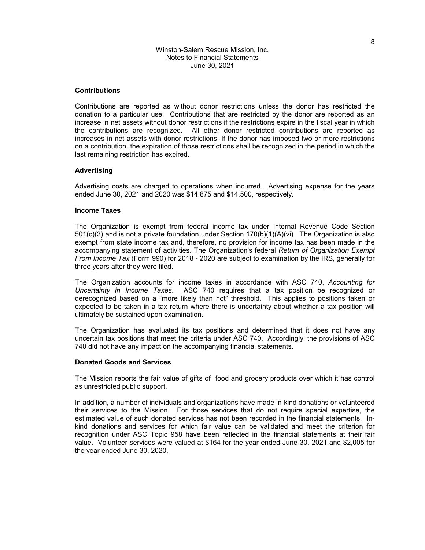### **Contributions**

Contributions are reported as without donor restrictions unless the donor has restricted the donation to a particular use. Contributions that are restricted by the donor are reported as an increase in net assets without donor restrictions if the restrictions expire in the fiscal year in which the contributions are recognized. All other donor restricted contributions are reported as increases in net assets with donor restrictions. If the donor has imposed two or more restrictions on a contribution, the expiration of those restrictions shall be recognized in the period in which the last remaining restriction has expired.

#### **Advertising**

Advertising costs are charged to operations when incurred. Advertising expense for the years ended June 30, 2021 and 2020 was \$14,875 and \$14,500, respectively.

#### **Income Taxes**

The Organization is exempt from federal income tax under Internal Revenue Code Section  $501(c)(3)$  and is not a private foundation under Section  $170(b)(1)(A)(vi)$ . The Organization is also exempt from state income tax and, therefore, no provision for income tax has been made in the accompanying statement of activities. The Organization's federal *Return of Organization Exempt From Income Tax* (Form 990) for 2018 - 2020 are subject to examination by the IRS, generally for three years after they were filed.

The Organization accounts for income taxes in accordance with ASC 740, *Accounting for Uncertainty in Income Taxes*. ASC 740 requires that a tax position be recognized or derecognized based on a "more likely than not" threshold. This applies to positions taken or expected to be taken in a tax return where there is uncertainty about whether a tax position will ultimately be sustained upon examination.

The Organization has evaluated its tax positions and determined that it does not have any uncertain tax positions that meet the criteria under ASC 740. Accordingly, the provisions of ASC 740 did not have any impact on the accompanying financial statements.

#### **Donated Goods and Services**

The Mission reports the fair value of gifts of food and grocery products over which it has control as unrestricted public support.

In addition, a number of individuals and organizations have made in-kind donations or volunteered their services to the Mission. For those services that do not require special expertise, the estimated value of such donated services has not been recorded in the financial statements. Inkind donations and services for which fair value can be validated and meet the criterion for recognition under ASC Topic 958 have been reflected in the financial statements at their fair value. Volunteer services were valued at \$164 for the year ended June 30, 2021 and \$2,005 for the year ended June 30, 2020.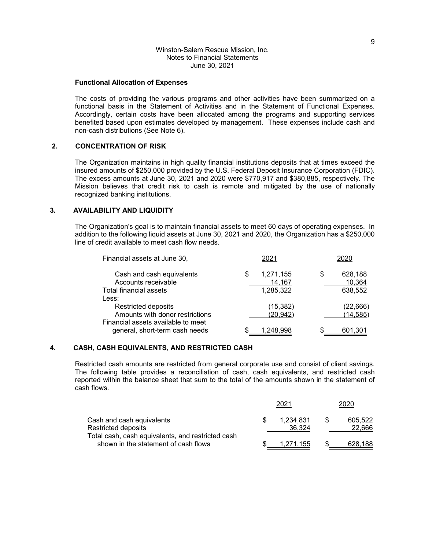#### **Functional Allocation of Expenses**

The costs of providing the various programs and other activities have been summarized on a functional basis in the Statement of Activities and in the Statement of Functional Expenses. Accordingly, certain costs have been allocated among the programs and supporting services benefited based upon estimates developed by management. These expenses include cash and non-cash distributions (See Note 6).

# **2. CONCENTRATION OF RISK**

The Organization maintains in high quality financial institutions deposits that at times exceed the insured amounts of \$250,000 provided by the U.S. Federal Deposit Insurance Corporation (FDIC). The excess amounts at June 30, 2021 and 2020 were \$770,917 and \$380,885, respectively. The Mission believes that credit risk to cash is remote and mitigated by the use of nationally recognized banking institutions.

## **3. AVAILABILITY AND LIQUIDITY**

The Organization's goal is to maintain financial assets to meet 60 days of operating expenses. In addition to the following liquid assets at June 30, 2021 and 2020, the Organization has a \$250,000 line of credit available to meet cash flow needs.

| Financial assets at June 30,                                               | 2021                                  | 2020                               |
|----------------------------------------------------------------------------|---------------------------------------|------------------------------------|
| Cash and cash equivalents<br>Accounts receivable<br>Total financial assets | 1,271,155<br>S<br>14,167<br>1,285,322 | \$<br>628,188<br>10,364<br>638,552 |
| Less:                                                                      |                                       |                                    |
| Restricted deposits                                                        | (15, 382)                             | (22, 666)                          |
| Amounts with donor restrictions                                            | (20, 942)                             | (14, 585)                          |
| Financial assets available to meet<br>general, short-term cash needs       | 1,248,998                             | 601,301                            |

# **4. CASH, CASH EQUIVALENTS, AND RESTRICTED CASH**

Restricted cash amounts are restricted from general corporate use and consist of client savings. The following table provides a reconciliation of cash, cash equivalents, and restricted cash reported within the balance sheet that sum to the total of the amounts shown in the statement of cash flows.

|                                                                          |  | 2021      | 2020 |         |  |
|--------------------------------------------------------------------------|--|-----------|------|---------|--|
| Cash and cash equivalents                                                |  | 1.234.831 | \$.  | 605.522 |  |
| Restricted deposits<br>Total cash, cash equivalents, and restricted cash |  | 36.324    |      | 22.666  |  |
| shown in the statement of cash flows                                     |  | 1,271,155 |      | 628.188 |  |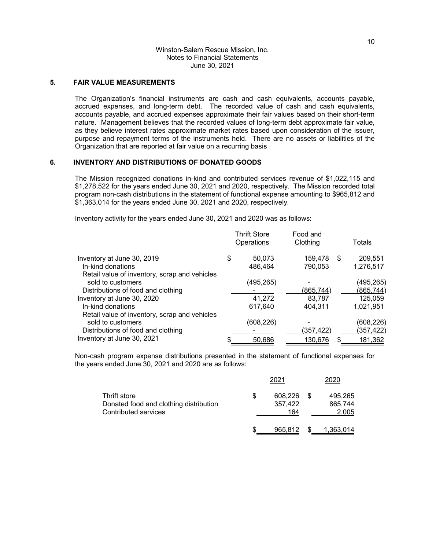#### **5. FAIR VALUE MEASUREMENTS**

The Organization's financial instruments are cash and cash equivalents, accounts payable, accrued expenses, and long-term debt. The recorded value of cash and cash equivalents, accounts payable, and accrued expenses approximate their fair values based on their short-term nature. Management believes that the recorded values of long-term debt approximate fair value, as they believe interest rates approximate market rates based upon consideration of the issuer, purpose and repayment terms of the instruments held. There are no assets or liabilities of the Organization that are reported at fair value on a recurring basis

## **6. INVENTORY AND DISTRIBUTIONS OF DONATED GOODS**

The Mission recognized donations in-kind and contributed services revenue of \$1,022,115 and \$1,278,522 for the years ended June 30, 2021 and 2020, respectively. The Mission recorded total program non-cash distributions in the statement of functional expense amounting to \$965,812 and \$1,363,014 for the years ended June 30, 2021 and 2020, respectively.

Inventory activity for the years ended June 30, 2021 and 2020 was as follows:

|                                                                    | <b>Thrift Store</b><br>Operations | Food and<br>Clothing |   | Totals           |
|--------------------------------------------------------------------|-----------------------------------|----------------------|---|------------------|
| Inventory at June 30, 2019                                         | \$<br>50.073                      | 159,478              | S | 209,551          |
| In-kind donations<br>Retail value of inventory, scrap and vehicles | 486.464                           | 790,053              |   | 1,276,517        |
| sold to customers                                                  | (495,265)                         |                      |   | (495,265)        |
| Distributions of food and clothing                                 |                                   | (865, 744)           |   | (865, 744)       |
| Inventory at June 30, 2020                                         | 41,272                            | 83,787               |   | 125,059          |
| In-kind donations                                                  | 617,640                           | 404.311              |   | 1,021,951        |
| Retail value of inventory, scrap and vehicles                      |                                   |                      |   |                  |
| sold to customers                                                  | (608,226)                         |                      |   | (608,226)        |
| Distributions of food and clothing                                 |                                   | <u>(357,422)</u>     |   | <u>(357,422)</u> |
| Inventory at June 30, 2021                                         | 50,686                            | 130,676              |   | 181,362          |

Non-cash program expense distributions presented in the statement of functional expenses for the years ended June 30, 2021 and 2020 are as follows:

|                                                                                | 2021                            | 2020                        |
|--------------------------------------------------------------------------------|---------------------------------|-----------------------------|
| Thrift store<br>Donated food and clothing distribution<br>Contributed services | \$<br>608,226<br>357,422<br>164 | 495.265<br>865,744<br>2,005 |
|                                                                                | 965.812                         | 1,363,014                   |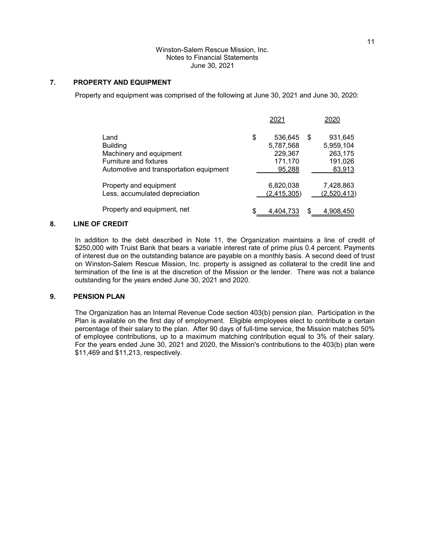# **7. PROPERTY AND EQUIPMENT**

Property and equipment was comprised of the following at June 30, 2021 and June 30, 2020:

|                                                                                                                         | 2021                                                       | 2020                                                      |
|-------------------------------------------------------------------------------------------------------------------------|------------------------------------------------------------|-----------------------------------------------------------|
| Land<br><b>Building</b><br>Machinery and equipment<br>Furniture and fixtures<br>Automotive and transportation equipment | \$<br>536,645<br>5,787,568<br>229,367<br>171,170<br>95,288 | 931,645<br>S<br>5,959,104<br>263,175<br>191,026<br>83,913 |
| Property and equipment<br>Less, accumulated depreciation                                                                | 6,820,038<br>(2, 415, 305)                                 | 7,428,863<br>(2,520,413)                                  |
| Property and equipment, net                                                                                             | 4.404.733                                                  | 4.908,450                                                 |

### **8. LINE OF CREDIT**

In addition to the debt described in Note 11, the Organization maintains a line of credit of \$250,000 with Truist Bank that bears a variable interest rate of prime plus 0.4 percent. Payments of interest due on the outstanding balance are payable on a monthly basis. A second deed of trust on Winston-Salem Rescue Mission, Inc. property is assigned as collateral to the credit line and termination of the line is at the discretion of the Mission or the lender. There was not a balance outstanding for the years ended June 30, 2021 and 2020.

## **9. PENSION PLAN**

The Organization has an Internal Revenue Code section 403(b) pension plan. Participation in the Plan is available on the first day of employment. Eligible employees elect to contribute a certain percentage of their salary to the plan. After 90 days of full-time service, the Mission matches 50% of employee contributions, up to a maximum matching contribution equal to 3% of their salary. For the years ended June 30, 2021 and 2020, the Mission's contributions to the 403(b) plan were \$11,469 and \$11,213, respectively.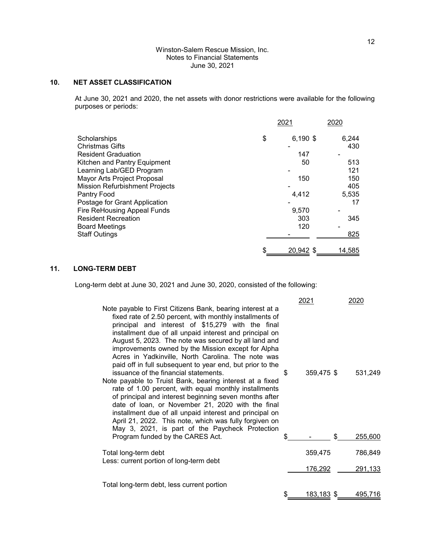# **10. NET ASSET CLASSIFICATION**

At June 30, 2021 and 2020, the net assets with donor restrictions were available for the following purposes or periods:

|                                       |    | 2021      | 2020   |
|---------------------------------------|----|-----------|--------|
| Scholarships                          | \$ | 6,190 \$  | 6,244  |
| <b>Christmas Gifts</b>                |    |           | 430    |
| <b>Resident Graduation</b>            |    | 147       |        |
| Kitchen and Pantry Equipment          |    | 50        | 513    |
| Learning Lab/GED Program              |    |           | 121    |
| Mayor Arts Project Proposal           |    | 150       | 150    |
| <b>Mission Refurbishment Projects</b> |    |           | 405    |
| Pantry Food                           |    | 4,412     | 5,535  |
| Postage for Grant Application         |    |           | 17     |
| Fire ReHousing Appeal Funds           |    | 9,570     |        |
| <b>Resident Recreation</b>            |    | 303       | 345    |
| <b>Board Meetings</b>                 |    | 120       |        |
| <b>Staff Outings</b>                  |    |           | 825    |
|                                       | S. | 20,942 \$ | 14,585 |

# **11. LONG-TERM DEBT**

Long-term debt at June 30, 2021 and June 30, 2020, consisted of the following:

|                                                                                                                                                                                                                                                                                                                                                                                                                                                                         | 2021             | 2020    |
|-------------------------------------------------------------------------------------------------------------------------------------------------------------------------------------------------------------------------------------------------------------------------------------------------------------------------------------------------------------------------------------------------------------------------------------------------------------------------|------------------|---------|
| Note payable to First Citizens Bank, bearing interest at a<br>fixed rate of 2.50 percent, with monthly installments of<br>principal and interest of \$15,279 with the final<br>installment due of all unpaid interest and principal on<br>August 5, 2023. The note was secured by all land and<br>improvements owned by the Mission except for Alpha<br>Acres in Yadkinville, North Carolina. The note was<br>paid off in full subsequent to year end, but prior to the |                  |         |
| issuance of the financial statements.<br>Note payable to Truist Bank, bearing interest at a fixed<br>rate of 1.00 percent, with equal monthly installments<br>of principal and interest beginning seven months after<br>date of loan, or November 21, 2020 with the final<br>installment due of all unpaid interest and principal on<br>April 21, 2022. This note, which was fully forgiven on<br>May 3, 2021, is part of the Paycheck Protection                       | \$<br>359,475 \$ | 531,249 |
| Program funded by the CARES Act.                                                                                                                                                                                                                                                                                                                                                                                                                                        | \$               | 255,600 |
| Total long-term debt<br>Less: current portion of long-term debt                                                                                                                                                                                                                                                                                                                                                                                                         | 359,475          | 786,849 |
|                                                                                                                                                                                                                                                                                                                                                                                                                                                                         | 176,292          | 291,133 |
| Total long-term debt, less current portion                                                                                                                                                                                                                                                                                                                                                                                                                              |                  |         |
|                                                                                                                                                                                                                                                                                                                                                                                                                                                                         | 183,183 \$       | 495,7   |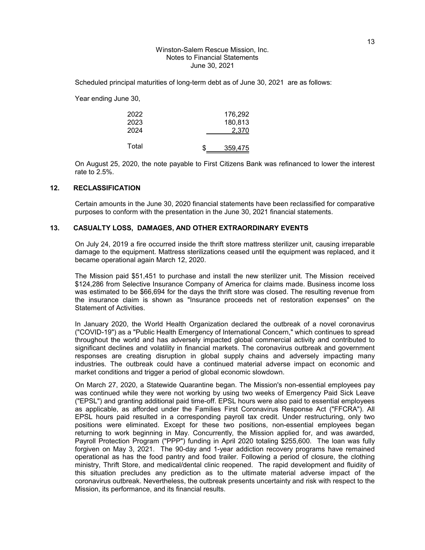Scheduled principal maturities of long-term debt as of June 30, 2021 are as follows:

Year ending June 30,

| 2022<br>2023<br>2024 | 176,292<br>180,813<br>2,370 |
|----------------------|-----------------------------|
| Total                | 359.475                     |

On August 25, 2020, the note payable to First Citizens Bank was refinanced to lower the interest rate to 2.5%.

## **12. RECLASSIFICATION**

Certain amounts in the June 30, 2020 financial statements have been reclassified for comparative purposes to conform with the presentation in the June 30, 2021 financial statements.

### **13. CASUALTY LOSS, DAMAGES, AND OTHER EXTRAORDINARY EVENTS**

On July 24, 2019 a fire occurred inside the thrift store mattress sterilizer unit, causing irreparable damage to the equipment. Mattress sterilizations ceased until the equipment was replaced, and it became operational again March 12, 2020.

The Mission paid \$51,451 to purchase and install the new sterilizer unit. The Mission received \$124,286 from Selective Insurance Company of America for claims made. Business income loss was estimated to be \$66,694 for the days the thrift store was closed. The resulting revenue from the insurance claim is shown as "Insurance proceeds net of restoration expenses" on the Statement of Activities.

In January 2020, the World Health Organization declared the outbreak of a novel coronavirus ("COVID-19") as a "Public Health Emergency of International Concern," which continues to spread throughout the world and has adversely impacted global commercial activity and contributed to significant declines and volatility in financial markets. The coronavirus outbreak and government responses are creating disruption in global supply chains and adversely impacting many industries. The outbreak could have a continued material adverse impact on economic and market conditions and trigger a period of global economic slowdown.

On March 27, 2020, a Statewide Quarantine began. The Mission's non-essential employees pay was continued while they were not working by using two weeks of Emergency Paid Sick Leave ("EPSL") and granting additional paid time-off. EPSL hours were also paid to essential employees as applicable, as afforded under the Families First Coronavirus Response Act ("FFCRA"). All EPSL hours paid resulted in a corresponding payroll tax credit. Under restructuring, only two positions were eliminated. Except for these two positions, non-essential employees began returning to work beginning in May. Concurrently, the Mission applied for, and was awarded, Payroll Protection Program ("PPP") funding in April 2020 totaling \$255,600. The loan was fully forgiven on May 3, 2021. The 90-day and 1-year addiction recovery programs have remained operational as has the food pantry and food trailer. Following a period of closure, the clothing ministry, Thrift Store, and medical/dental clinic reopened. The rapid development and fluidity of this situation precludes any prediction as to the ultimate material adverse impact of the coronavirus outbreak. Nevertheless, the outbreak presents uncertainty and risk with respect to the Mission, its performance, and its financial results.